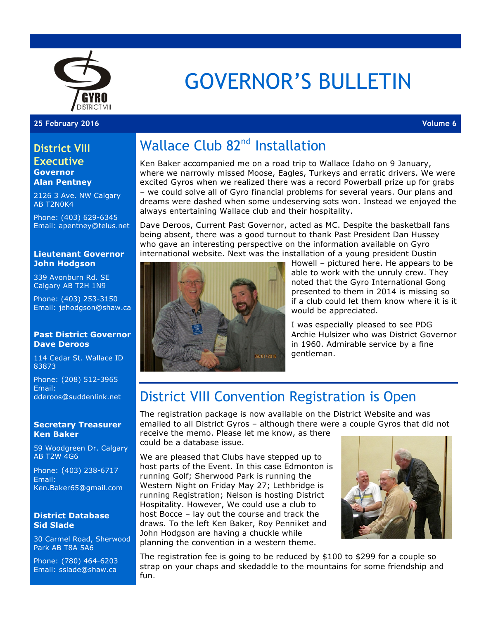

# GOVERNOR'S BULLETIN

#### **25 February 2016 Volume 6**

#### **District VIII Executive Governor**

**Alan Pentney**

2126 3 Ave. NW Calgary AB T2N0K4

Phone: (403) 629-6345 Email: apentney@telus.net

#### **Lieutenant Governor John Hodgson**

339 Avonburn Rd. SE Calgary AB T2H 1N9

Phone: (403) 253-3150 Email: jehodgson@shaw.ca

#### **Past District Governor Dave Deroos**

114 Cedar St. Wallace ID 83873

Phone: (208) 512-3965 Email: dderoos@suddenlink.net

#### **Secretary Treasurer Ken Baker**

59 Woodgreen Dr. Calgary AB T2W 4G6

Phone: (403) 238-6717 Email: Ken.Baker65@gmail.com

#### **District Database Sid Slade**

30 Carmel Road, Sherwood Park AB T8A 5A6

Phone: (780) 464-6203 Email: sslade@shaw.ca

## Wallace Club 82<sup>nd</sup> Installation

Ken Baker accompanied me on a road trip to Wallace Idaho on 9 January, where we narrowly missed Moose, Eagles, Turkeys and erratic drivers. We were excited Gyros when we realized there was a record Powerball prize up for grabs – we could solve all of Gyro financial problems for several years. Our plans and dreams were dashed when some undeserving sots won. Instead we enjoyed the always entertaining Wallace club and their hospitality.

Dave Deroos, Current Past Governor, acted as MC. Despite the basketball fans being absent, there was a good turnout to thank Past President Dan Hussey who gave an interesting perspective on the information available on Gyro international website. Next was the installation of a young president Dustin



Howell – pictured here. He appears to be able to work with the unruly crew. They noted that the Gyro International Gong presented to them in 2014 is missing so if a club could let them know where it is it would be appreciated.

I was especially pleased to see PDG Archie Hulsizer who was District Governor in 1960. Admirable service by a fine gentleman.

### District VIII Convention Registration is Open

The registration package is now available on the District Website and was emailed to all District Gyros – although there were a couple Gyros that did not receive the memo. Please let me know, as there

could be a database issue.

We are pleased that Clubs have stepped up to host parts of the Event. In this case Edmonton is running Golf; Sherwood Park is running the Western Night on Friday May 27; Lethbridge is running Registration; Nelson is hosting District Hospitality. However, We could use a club to host Bocce – lay out the course and track the draws. To the left Ken Baker, Roy Penniket and John Hodgson are having a chuckle while planning the convention in a western theme.



The registration fee is going to be reduced by \$100 to \$299 for a couple so strap on your chaps and skedaddle to the mountains for some friendship and fun.